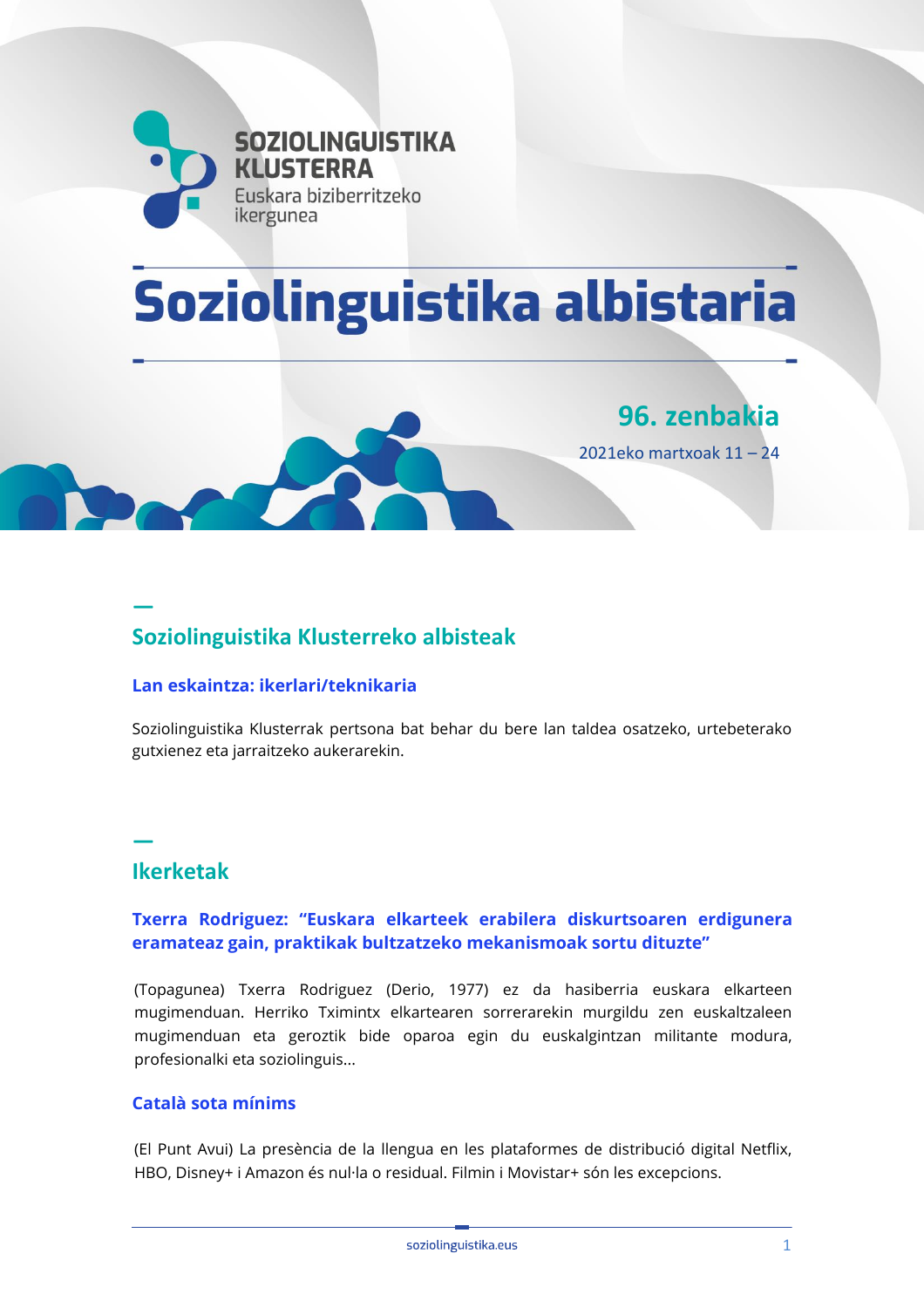

# Soziolinguistika albistaria



**— Soziolinguistika Klusterreko albisteak**

#### **[Lan eskaintza: ikerlari/teknikaria](https://emun.intelsuite.es/index.php?option=com_idkjournal&task=redirect&plugin=k2_p1&iid=24877&journalid=605b1436ee7f7&title=1-+Lan+eskaintza%3A+ikerlari%2Fteknikaria&url=aHR0cDovL3d3dy5zb3ppb2xpbmd1aXN0aWthLmV1cy9ub2RlLzcyNzE=)**

Soziolinguistika Klusterrak pertsona bat behar du bere lan taldea osatzeko, urtebeterako gutxienez eta jarraitzeko aukerarekin.

# **Ikerketak**

**—**

#### **[Txerra Rodriguez: "Euskara elkarteek erabilera diskurtsoaren erdigunera](https://emun.intelsuite.es/index.php?option=com_idkjournal&task=redirect&plugin=k2_p1&iid=24884&journalid=605b1436ee7f7&title=2-+Txerra+Rodriguez%3A+%E2%80%9CEuskara+elkarteek+erabilera+diskurtsoaren+erdigunera+eramateaz+gain%2C+praktikak+bultzatzeko+mekanismoak+sortu+dituzte%E2%80%9D&url=aHR0cHM6Ly90b3BhZ3VuZWEuZXVzL3R4ZXJyYS1yb2RyaWd1ZXotMzAtdXJ0ZS1taWhpZ2ludHphbi8=)  [eramateaz gain, praktikak bultzatzeko mekanismoak sortu dituzte"](https://emun.intelsuite.es/index.php?option=com_idkjournal&task=redirect&plugin=k2_p1&iid=24884&journalid=605b1436ee7f7&title=2-+Txerra+Rodriguez%3A+%E2%80%9CEuskara+elkarteek+erabilera+diskurtsoaren+erdigunera+eramateaz+gain%2C+praktikak+bultzatzeko+mekanismoak+sortu+dituzte%E2%80%9D&url=aHR0cHM6Ly90b3BhZ3VuZWEuZXVzL3R4ZXJyYS1yb2RyaWd1ZXotMzAtdXJ0ZS1taWhpZ2ludHphbi8=)**

(Topagunea) Txerra Rodriguez (Derio, 1977) ez da hasiberria euskara elkarteen mugimenduan. Herriko Tximintx elkartearen sorrerarekin murgildu zen euskaltzaleen mugimenduan eta geroztik bide oparoa egin du euskalgintzan militante modura, profesionalki eta soziolinguis...

#### **[Català sota mínims](https://emun.intelsuite.es/index.php?option=com_idkjournal&task=redirect&plugin=k2_p1&iid=24892&journalid=605b1436ee7f7&title=2-+Catal%C3%A0+sota+m%C3%ADnims&url=aHR0cDovL3d3dy5lbHB1bnRhdnVpLmNhdC9jdWx0dXJhL2FydGljbGUvMTc5OTA3OS1jYXRhbGEtc290YS1taW5pbXMuaHRtbD9JdGVtSWQ9Mjc4OA==)**

(El Punt Avui) La presència de la llengua en les plataformes de distribució digital Netflix, HBO, Disney+ i Amazon és nul·la o residual. Filmin i Movistar+ són les excepcions.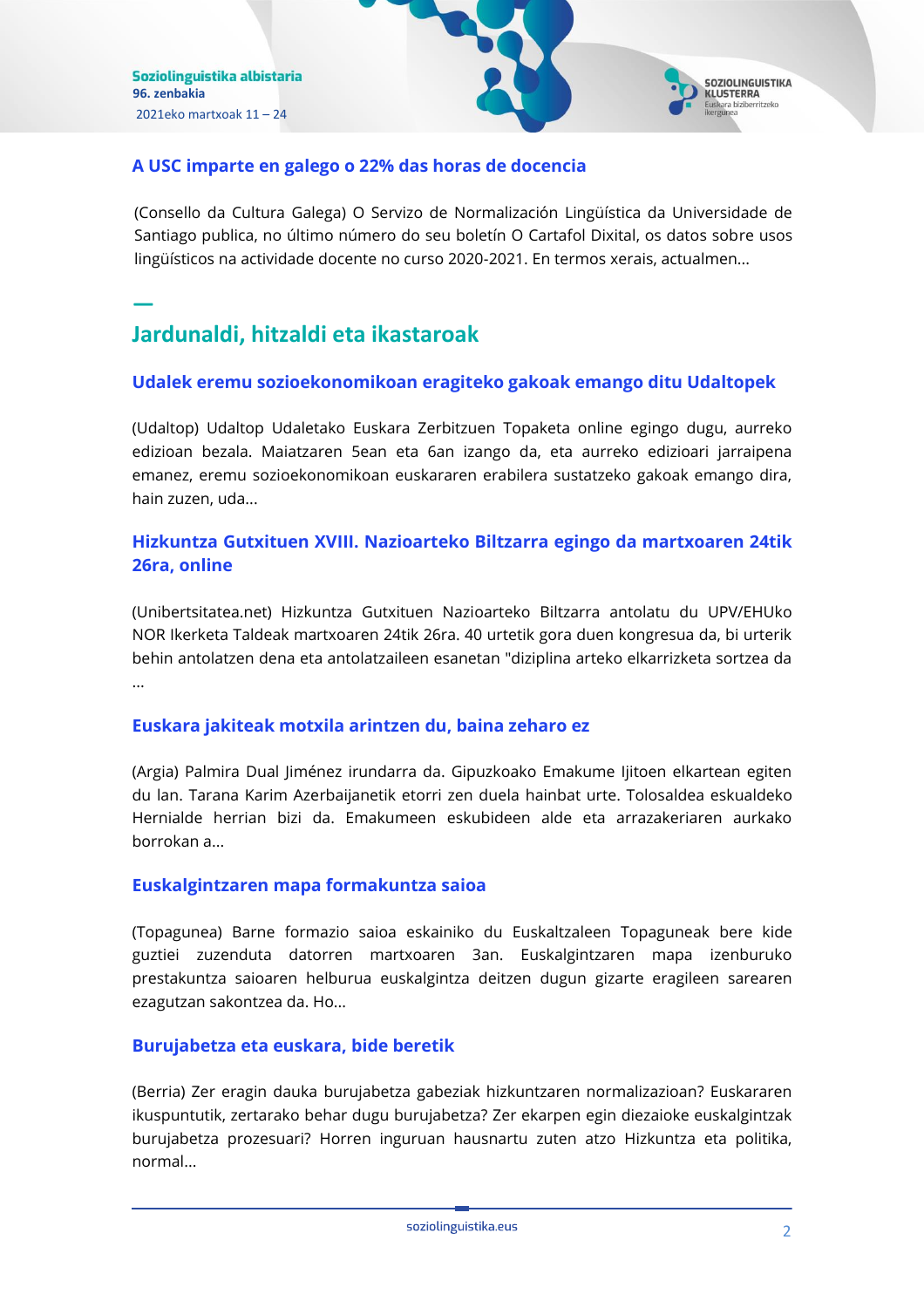

#### **[A USC imparte en galego o 22% das horas de docencia](https://emun.intelsuite.es/index.php?option=com_idkjournal&task=redirect&plugin=k2_p1&iid=24893&journalid=605b1436ee7f7&title=2-+A+USC+imparte+en+galego+o+22%25+das+horas+de+docencia&url=aHR0cDovL2NvbnNlbGxvZGFjdWx0dXJhLmdhbC9jZHNnL3BheGluYWFycS5waHA/aWQ9NzU1Mg==)**

(Consello da Cultura Galega) O Servizo de Normalización Lingüística da Universidade de Santiago publica, no último número do seu boletín O Cartafol Dixital, os datos sobre usos lingüísticos na actividade docente no curso 2020-2021. En termos xerais, actualmen...

# **— Jardunaldi, hitzaldi eta ikastaroak**

#### **[Udalek eremu sozioekonomikoan eragiteko gakoak emango ditu Udaltopek](https://emun.intelsuite.es/index.php?option=com_idkjournal&task=redirect&plugin=k2_p1&iid=24891&journalid=605b1436ee7f7&title=3-+Udalek+eremu+sozioekonomikoan+eragiteko+gakoak+emango+ditu+Udaltopek&url=aHR0cDovL3d3dy51ZGFsdG9wLmV1cy9ldS8tL3VkYWxlay1lcmVtdS1zb3ppb2Vrb25vbWlrb2FuLWVyYWdpdGVrby1nYWtvYWstZW1hbmdvLWRpdHUtdWRhbHRvcGVr)**

(Udaltop) Udaltop Udaletako Euskara Zerbitzuen Topaketa online egingo dugu, aurreko edizioan bezala. Maiatzaren 5ean eta 6an izango da, eta aurreko edizioari jarraipena emanez, eremu sozioekonomikoan euskararen erabilera sustatzeko gakoak emango dira, hain zuzen, uda...

#### **[Hizkuntza Gutxituen XVIII. Nazioarteko Biltzarra egingo da martxoaren 24tik](https://emun.intelsuite.es/index.php?option=com_idkjournal&task=redirect&plugin=k2_p1&iid=24878&journalid=605b1436ee7f7&title=3-+Hizkuntza+Gutxituen+XVIII.+Nazioarteko+Biltzarra+egingo+da+martxoaren+24tik+26ra%2C+online&url=aHR0cDovL2ZlZWRwcm94eS5nb29nbGUuY29tL35yL1ppenR1Qml6aWFuL34zL0NORTBHdlVBQ2pnL2hpemt1bnR6YS1ndXR4aXR1ZW4teHZpaWktbmF6aW9hcnRla28tYmlsdHphcnJhLW9ubGluZS1lZ2luZ28tZGEtbWFydHhvYXJlbi0yNHRpay0yNnJh)  [26ra, online](https://emun.intelsuite.es/index.php?option=com_idkjournal&task=redirect&plugin=k2_p1&iid=24878&journalid=605b1436ee7f7&title=3-+Hizkuntza+Gutxituen+XVIII.+Nazioarteko+Biltzarra+egingo+da+martxoaren+24tik+26ra%2C+online&url=aHR0cDovL2ZlZWRwcm94eS5nb29nbGUuY29tL35yL1ppenR1Qml6aWFuL34zL0NORTBHdlVBQ2pnL2hpemt1bnR6YS1ndXR4aXR1ZW4teHZpaWktbmF6aW9hcnRla28tYmlsdHphcnJhLW9ubGluZS1lZ2luZ28tZGEtbWFydHhvYXJlbi0yNHRpay0yNnJh)**

(Unibertsitatea.net) Hizkuntza Gutxituen Nazioarteko Biltzarra antolatu du UPV/EHUko NOR Ikerketa Taldeak martxoaren 24tik 26ra. 40 urtetik gora duen kongresua da, bi urterik behin antolatzen dena eta antolatzaileen esanetan "diziplina arteko elkarrizketa sortzea da ...

#### **[Euskara jakiteak motxila arintzen du, baina zeharo ez](https://emun.intelsuite.es/index.php?option=com_idkjournal&task=redirect&plugin=k2_p1&iid=24889&journalid=605b1436ee7f7&title=3-+Euskara+jakiteak+motxila+arintzen+du%2C+baina+zeharo+ez&url=aHR0cHM6Ly93d3cuYXJnaWEuZXVzL2FyZ2lhLWFzdGVrYXJpYS8yNzIzL2V1c2thcmEtamFraXRlYWstbW90eGlsYS1hcmludHplbi1kdS1iYWluYS16ZWhhcm8tZXo=)**

(Argia) Palmira Dual Jiménez irundarra da. Gipuzkoako Emakume Ijitoen elkartean egiten du lan. Tarana Karim Azerbaijanetik etorri zen duela hainbat urte. Tolosaldea eskualdeko Hernialde herrian bizi da. Emakumeen eskubideen alde eta arrazakeriaren aurkako borrokan a...

#### **[Euskalgintzaren mapa formakuntza saioa](https://emun.intelsuite.es/index.php?option=com_idkjournal&task=redirect&plugin=k2_p1&iid=24565&journalid=605b1436ee7f7&title=3-+Euskalgintzaren+mapa+formakuntza+saioa&url=aHR0cHM6Ly90b3BhZ3VuZWEuZXVzL2V1c2thbGdpbnR6YXJlbi1tYXBhLWZvcm1ha3VudHphLXNhaW9hLw==)**

(Topagunea) Barne formazio saioa eskainiko du Euskaltzaleen Topaguneak bere kide guztiei zuzenduta datorren martxoaren 3an. Euskalgintzaren mapa izenburuko prestakuntza saioaren helburua euskalgintza deitzen dugun gizarte eragileen sarearen ezagutzan sakontzea da. Ho...

#### **[Burujabetza eta euskara, bide beretik](https://www.berria.eus/paperekoa/1886/008/001/2021-03-18/burujabetza-eta-euskara-bide-beretik.htm)**

(Berria) Zer eragin dauka burujabetza gabeziak hizkuntzaren normalizazioan? Euskararen ikuspuntutik, zertarako behar dugu burujabetza? Zer ekarpen egin diezaioke euskalgintzak burujabetza prozesuari? Horren inguruan hausnartu zuten atzo Hizkuntza eta politika, normal...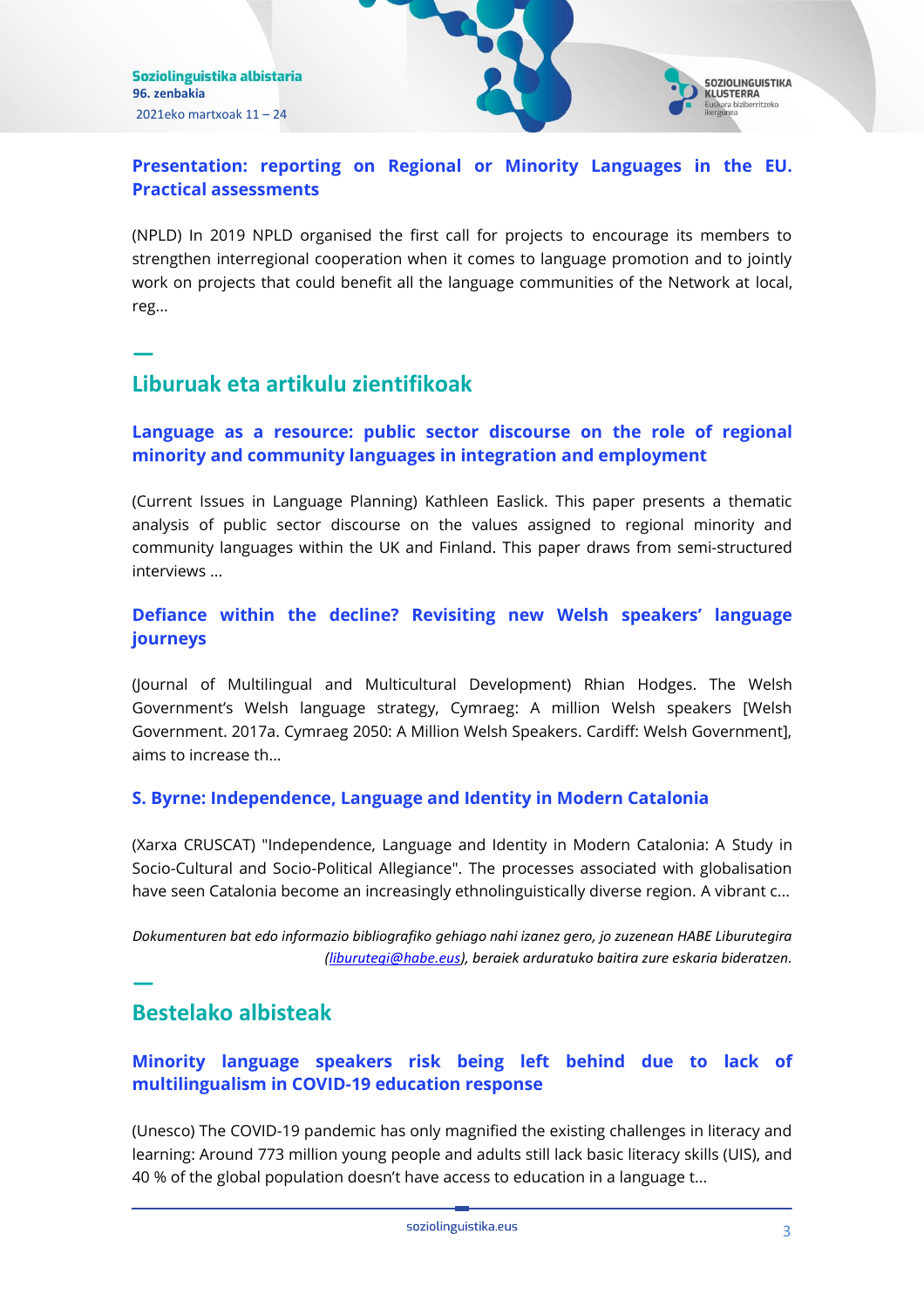

## **[Presentation: reporting on Regional or Minority Languages in the EU.](https://emun.intelsuite.es/index.php?option=com_idkjournal&task=redirect&plugin=k2_p1&iid=24882&journalid=605b1436ee7f7&title=3-+Presentation%3A+reporting+on+Regional+or+Minority+Languages+in+the+EU.+Practical+assessments&url=aHR0cHM6Ly93d3cubnBsZC5ldS9wcmVzZW50YXRpb24tcmVwb3J0aW5nLW9uLXJlZ2lvbmFsLW9yLW1pbm9yaXR5LWxhbmd1YWdlcy1pbi10aGUtZXUtcHJhY3RpY2FsLWFzc2Vzc21lbnRzLw==)  [Practical assessments](https://emun.intelsuite.es/index.php?option=com_idkjournal&task=redirect&plugin=k2_p1&iid=24882&journalid=605b1436ee7f7&title=3-+Presentation%3A+reporting+on+Regional+or+Minority+Languages+in+the+EU.+Practical+assessments&url=aHR0cHM6Ly93d3cubnBsZC5ldS9wcmVzZW50YXRpb24tcmVwb3J0aW5nLW9uLXJlZ2lvbmFsLW9yLW1pbm9yaXR5LWxhbmd1YWdlcy1pbi10aGUtZXUtcHJhY3RpY2FsLWFzc2Vzc21lbnRzLw==)**

(NPLD) In 2019 NPLD organised the first call for projects to encourage its members to strengthen interregional cooperation when it comes to language promotion and to jointly work on projects that could benefit all the language communities of the Network at local, reg...

# **Liburuak eta artikulu zientifikoak**

**—**

## **[Language as a resource: public sector discourse on the role of regional](https://emun.intelsuite.es/index.php?option=com_idkjournal&task=redirect&plugin=k2_p1&iid=24880&journalid=605b1436ee7f7&title=4-+Language+as+a+resource%3A+public+sector+discourse+on+the+role+of+regional+minority+and+community+languages+in+integration+and+employment&url=aHR0cHM6Ly93d3cudGFuZGZvbmxpbmUuY29tL2RvaS9mdWxsLzEwLjEwODAvMTQ2NjQyMDguMjAyMS4xODk3MzgxP2FmPVI=)  [minority and community languages in integration](https://emun.intelsuite.es/index.php?option=com_idkjournal&task=redirect&plugin=k2_p1&iid=24880&journalid=605b1436ee7f7&title=4-+Language+as+a+resource%3A+public+sector+discourse+on+the+role+of+regional+minority+and+community+languages+in+integration+and+employment&url=aHR0cHM6Ly93d3cudGFuZGZvbmxpbmUuY29tL2RvaS9mdWxsLzEwLjEwODAvMTQ2NjQyMDguMjAyMS4xODk3MzgxP2FmPVI=) and employment**

(Current Issues in Language Planning) Kathleen Easlick. This paper presents a thematic analysis of public sector discourse on the values assigned to regional minority and community languages within the UK and Finland. This paper draws from semi-structured interviews ...

## **[Defiance within the decline? Revisiting new Welsh speakers' language](https://emun.intelsuite.es/index.php?option=com_idkjournal&task=redirect&plugin=k2_p1&iid=24881&journalid=605b1436ee7f7&title=4-+Defiance+within+the+decline%3F+Revisiting+new+Welsh+speakers%E2%80%99+language+journeys&url=aHR0cHM6Ly93d3cudGFuZGZvbmxpbmUuY29tL2RvaS9mdWxsLzEwLjEwODAvMDE0MzQ2MzIuMjAyMS4xODgwNDE2P2FmPVI=)  [journeys](https://emun.intelsuite.es/index.php?option=com_idkjournal&task=redirect&plugin=k2_p1&iid=24881&journalid=605b1436ee7f7&title=4-+Defiance+within+the+decline%3F+Revisiting+new+Welsh+speakers%E2%80%99+language+journeys&url=aHR0cHM6Ly93d3cudGFuZGZvbmxpbmUuY29tL2RvaS9mdWxsLzEwLjEwODAvMDE0MzQ2MzIuMjAyMS4xODgwNDE2P2FmPVI=)**

(Journal of Multilingual and Multicultural Development) Rhian Hodges. The Welsh Government's Welsh language strategy, Cymraeg: A million Welsh speakers [Welsh Government. 2017a. Cymraeg 2050: A Million Welsh Speakers. Cardiff: Welsh Government], aims to increase th...

#### **[S. Byrne: Independence, Language and Identity in Modern Catalonia](https://emun.intelsuite.es/index.php?option=com_idkjournal&task=redirect&plugin=k2_p1&iid=24883&journalid=605b1436ee7f7&title=4-+S.+Byrne%3A+Independence%2C+Language+and+Identity+in+Modern+Catalonia&url=aHR0cHM6Ly9ibG9ncy5pZWMuY2F0L2NydXNjYXQvMjAyMS8wMy8xNy9zLWJ5cm5lLWluZGVwZW5kZW5jZS1sYW5ndWFnZS1hbmQtaWRlbnRpdHktaW4tbW9kZXJuLWNhdGFsb25pYS8=)**

(Xarxa CRUSCAT) "Independence, Language and Identity in Modern Catalonia: A Study in Socio-Cultural and Socio-Political Allegiance". The processes associated with globalisation have seen Catalonia become an increasingly ethnolinguistically diverse region. A vibrant c...

*Dokumenturen bat edo informazio bibliografiko gehiago nahi izanez gero, jo zuzenean HABE Liburutegira [\(liburutegi@habe.eus\)](mailto:liburutegi@habe.eus), beraiek arduratuko baitira zure eskaria bideratzen.*

# **Bestelako albisteak**

**—**

# **[Minority language speakers risk being left behind due to lack of](https://emun.intelsuite.es/index.php?option=com_idkjournal&task=redirect&plugin=k2_p1&iid=24561&journalid=605b1436ee7f7&title=5-+Minority+language+speakers+risk+being+left+behind+due+to+lack+of+multilingualism+in+COVID-19+education+response&url=aHR0cHM6Ly9lbi51bmVzY28ub3JnL25ld3MvbWlub3JpdHktbGFuZ3VhZ2Utc3BlYWtlcnMtcmlzay1iZWluZy1sZWZ0LWJlaGluZC1kdWUtbGFjay1tdWx0aWxpbmd1YWxpc20tY292aWQtMTktZWR1Y2F0aW9u)  multilingualism [in COVID-19 education response](https://emun.intelsuite.es/index.php?option=com_idkjournal&task=redirect&plugin=k2_p1&iid=24561&journalid=605b1436ee7f7&title=5-+Minority+language+speakers+risk+being+left+behind+due+to+lack+of+multilingualism+in+COVID-19+education+response&url=aHR0cHM6Ly9lbi51bmVzY28ub3JnL25ld3MvbWlub3JpdHktbGFuZ3VhZ2Utc3BlYWtlcnMtcmlzay1iZWluZy1sZWZ0LWJlaGluZC1kdWUtbGFjay1tdWx0aWxpbmd1YWxpc20tY292aWQtMTktZWR1Y2F0aW9u)**

(Unesco) The COVID-19 pandemic has only magnified the existing challenges in literacy and learning: Around 773 million young people and adults still lack basic literacy skills (UIS), and 40 % of the global population doesn't have access to education in a language t...